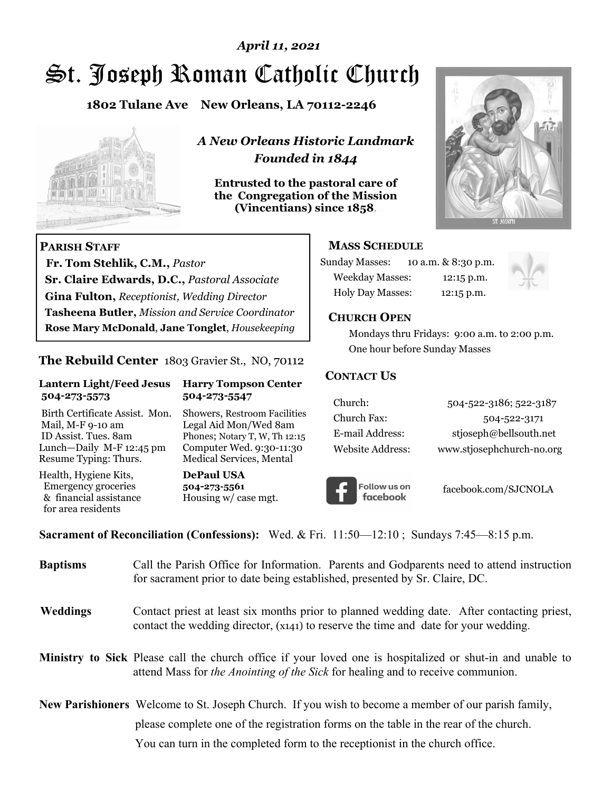# St. Joseph Roman Catholic Church *April 11, 2021*

**1802 Tulane Ave New Orleans, LA 70112-2246**



 **Fr. Tom Stehlik, C.M.,** *Pastor* 

**Sr. Claire Edwards, D.C.,** *Pastoral Associate* **Gina Fulton,** *Receptionist, Wedding Director* 

**Tasheena Butler,** *Mission and Service Coordinator* **Rose Mary McDonald**, **Jane Tonglet**, *Housekeeping*

**The Rebuild Center** 1803 Gravier St., NO, 70112

**Lantern Light/Feed Jesus Harry Tompson Center** 

Birth Certificate Assist. Mon. Showers, Restroom Facilities Mail, M-F 9-10 am Legal Aid Mon/Wed 8am ID Assist. Tues. 8am Phones; Notary T, W, Th 12:15 Lunch—Daily M-F 12:45 pm Computer Wed. 9:30-11:30 Resume Typing: Thurs. Medical Services, Mental

 **504-273-5573 504-273-5547** 

Health, Hygiene Kits, **DePaul USA**  Emergency groceries **504-273-5561**<br>& financial assistance **Housing w/** ca

**PARISH STAFF**

for area residents

*A New Orleans Historic Landmark Founded in 1844* 

**Entrusted to the pastoral care of the Congregation of the Mission (Vincentians) since 1858**.



#### **MASS SCHEDULE**

| <b>Sunday Masses:</b>  |  | 10 a.m. & 8:30 p.m. |
|------------------------|--|---------------------|
| <b>Weekday Masses:</b> |  | $12:15$ p.m.        |
| Holy Day Masses:       |  | 12:15 p.m.          |



#### **CHURCH OPEN**

 Mondays thru Fridays: 9:00 a.m. to 2:00 p.m. One hour before Sunday Masses

#### **CONTACT US**

| Church:          | 504-522-3186; 522-3187    |
|------------------|---------------------------|
| Church Fax:      | 504-522-3171              |
| E-mail Address:  | stjoseph@bellsouth.net    |
| Website Address: | www.stjosephchurch-no.org |



facebook.com/SJCNOLA

**Sacrament of Reconciliation (Confessions):** Wed. & Fri. 11:50—12:10 ; Sundays 7:45—8:15 p.m.

Housing w/ case mgt.

| <b>Baptisms</b> | Call the Parish Office for Information. Parents and Godparents need to attend instruction<br>for sacrament prior to date being established, presented by Sr. Claire, DC.                            |
|-----------------|-----------------------------------------------------------------------------------------------------------------------------------------------------------------------------------------------------|
| <b>Weddings</b> | Contact priest at least six months prior to planned wedding date. After contacting priest,<br>contact the wedding director, (x141) to reserve the time and date for your wedding.                   |
|                 | Ministry to Sick Please call the church office if your loved one is hospitalized or shut-in and unable to<br>attend Mass for <i>the Anointing of the Sick</i> for healing and to receive communion. |
|                 | <b>New Parishioners</b> Welcome to St. Joseph Church. If you wish to become a member of our parish family,                                                                                          |
|                 | please complete one of the registration forms on the table in the rear of the church.                                                                                                               |
|                 | You can turn in the completed form to the reception is the church office.                                                                                                                           |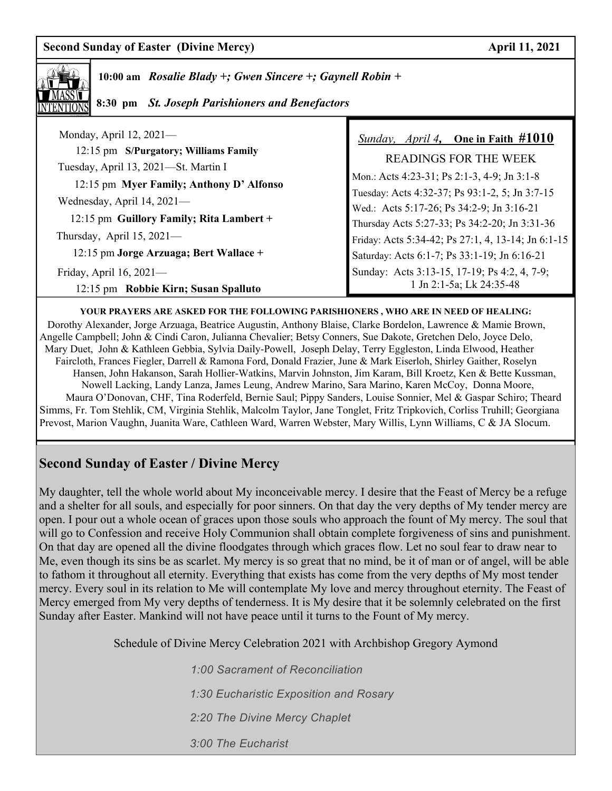**10:00 am** *Rosalie Blady +; Gwen Sincere +; Gaynell Robin +* 

 **8:30 pm** *St. Joseph Parishioners and Benefactors*

| Monday, April 12, 2021-                  | <i>Sunday, April 4,</i> One in Faith $\#1010$      |
|------------------------------------------|----------------------------------------------------|
| 12:15 pm S/Purgatory; Williams Family    | <b>READINGS FOR THE WEEK</b>                       |
| Tuesday, April 13, 2021-St. Martin I     | Mon.: Acts 4:23-31; Ps 2:1-3, 4-9; Jn 3:1-8        |
| 12:15 pm Myer Family; Anthony D' Alfonso | Tuesday: Acts 4:32-37; Ps 93:1-2, 5; Jn 3:7-15     |
| Wednesday, April 14, 2021-               | Wed.: Acts 5:17-26; Ps 34:2-9; Jn 3:16-21          |
| 12:15 pm Guillory Family; Rita Lambert + | Thursday Acts 5:27-33; Ps 34:2-20; Jn 3:31-36      |
| Thursday, April $15, 2021$ —             | Friday: Acts 5:34-42; Ps 27:1, 4, 13-14; Jn 6:1-15 |
| 12:15 pm Jorge Arzuaga; Bert Wallace +   | Saturday: Acts 6:1-7; Ps 33:1-19; Jn 6:16-21       |
| Friday, April $16, 2021$ —               | Sunday: Acts 3:13-15, 17-19; Ps 4:2, 4, 7-9;       |
| 12:15 pm Robbie Kirn; Susan Spalluto     | 1 Jn 2:1-5a; Lk 24:35-48                           |

**YOUR PRAYERS ARE ASKED FOR THE FOLLOWING PARISHIONERS , WHO ARE IN NEED OF HEALING:**  Dorothy Alexander, Jorge Arzuaga, Beatrice Augustin, Anthony Blaise, Clarke Bordelon, Lawrence & Mamie Brown, Angelle Campbell; John & Cindi Caron, Julianna Chevalier; Betsy Conners, Sue Dakote, Gretchen Delo, Joyce Delo, Mary Duet, John & Kathleen Gebbia, Sylvia Daily-Powell, Joseph Delay, Terry Eggleston, Linda Elwood, Heather Faircloth, Frances Fiegler, Darrell & Ramona Ford, Donald Frazier, June & Mark Eiserloh, Shirley Gaither, Roselyn Hansen, John Hakanson, Sarah Hollier-Watkins, Marvin Johnston, Jim Karam, Bill Kroetz, Ken & Bette Kussman, Nowell Lacking, Landy Lanza, James Leung, Andrew Marino, Sara Marino, Karen McCoy, Donna Moore, Maura O'Donovan, CHF, Tina Roderfeld, Bernie Saul; Pippy Sanders, Louise Sonnier, Mel & Gaspar Schiro; Theard Simms, Fr. Tom Stehlik, CM, Virginia Stehlik, Malcolm Taylor, Jane Tonglet, Fritz Tripkovich, Corliss Truhill; Georgiana Prevost, Marion Vaughn, Juanita Ware, Cathleen Ward, Warren Webster, Mary Willis, Lynn Williams, C & JA Slocum.

## **Second Sunday of Easter / Divine Mercy**

My daughter, tell the whole world about My inconceivable mercy. I desire that the Feast of Mercy be a refuge and a shelter for all souls, and especially for poor sinners. On that day the very depths of My tender mercy are open. I pour out a whole ocean of graces upon those souls who approach the fount of My mercy. The soul that will go to Confession and receive Holy Communion shall obtain complete forgiveness of sins and punishment. On that day are opened all the divine floodgates through which graces flow. Let no soul fear to draw near to Me, even though its sins be as scarlet. My mercy is so great that no mind, be it of man or of angel, will be able to fathom it throughout all eternity. Everything that exists has come from the very depths of My most tender mercy. Every soul in its relation to Me will contemplate My love and mercy throughout eternity. The Feast of Mercy emerged from My very depths of tenderness. It is My desire that it be solemnly celebrated on the first Sunday after Easter. Mankind will not have peace until it turns to the Fount of My mercy.

Schedule of Divine Mercy Celebration 2021 with Archbishop Gregory Aymond

 *1:00 Sacrament of Reconciliation 1:30 Eucharistic Exposition and Rosary 2:20 The Divine Mercy Chaplet 3:00 The Eucharist*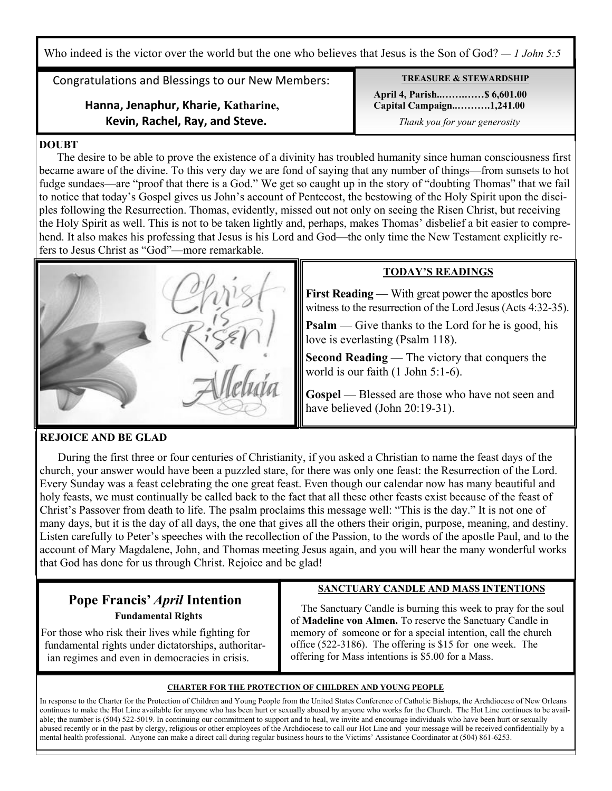Who indeed is the victor over the world but the one who believes that Jesus is the Son of God? — 1 John 5:5<sup>7</sup>

Congratulations and Blessings to our New Members:

### **Hanna, Jenaphur, Kharie, Katharine, Kevin, Rachel, Ray, and Steve.**

# **TREASURE & STEWARDSHIP**

 **April 4, Parish..…….……\$ 6,601.00 Capital Campaign..……….1,241.00** *Thank you for your generosity*

#### **DOUBT**

 The desire to be able to prove the existence of a divinity has troubled humanity since human consciousness first became aware of the divine. To this very day we are fond of saying that any number of things—from sunsets to hot fudge sundaes—are "proof that there is a God." We get so caught up in the story of "doubting Thomas" that we fail to notice that today's Gospel gives us John's account of Pentecost, the bestowing of the Holy Spirit upon the disciples following the Resurrection. Thomas, evidently, missed out not only on seeing the Risen Christ, but receiving the Holy Spirit as well. This is not to be taken lightly and, perhaps, makes Thomas' disbelief a bit easier to comprehend. It also makes his professing that Jesus is his Lord and God—the only time the New Testament explicitly refers to Jesus Christ as "God"—more remarkable.



#### **TODAY'S READINGS**

**First Reading** — With great power the apostles bore witness to the resurrection of the Lord Jesus (Acts 4:32-35).

**Psalm** — Give thanks to the Lord for he is good, his love is everlasting (Psalm 118).

**Second Reading** — The victory that conquers the world is our faith (1 John 5:1-6).

Gospel — Blessed are those who have not seen and have believed (John 20:19-31).

#### **REJOICE AND BE GLAD**

 During the first three or four centuries of Christianity, if you asked a Christian to name the feast days of the church, your answer would have been a puzzled stare, for there was only one feast: the Resurrection of the Lord. Every Sunday was a feast celebrating the one great feast. Even though our calendar now has many beautiful and holy feasts, we must continually be called back to the fact that all these other feasts exist because of the feast of Christ's Passover from death to life. The psalm proclaims this message well: "This is the day." It is not one of many days, but it is the day of all days, the one that gives all the others their origin, purpose, meaning, and destiny. Listen carefully to Peter's speeches with the recollection of the Passion, to the words of the apostle Paul, and to the account of Mary Magdalene, John, and Thomas meeting Jesus again, and you will hear the many wonderful works that God has done for us through Christ. Rejoice and be glad!

# **Pope Francis'** *April* **Intention Fundamental Rights**

 For those who risk their lives while fighting for fundamental rights under dictatorships, authoritar ian regimes and even in democracies in crisis.

#### **SANCTUARY CANDLE AND MASS INTENTIONS**

 The Sanctuary Candle is burning this week to pray for the soul of **Madeline von Almen.** To reserve the Sanctuary Candle in memory of someone or for a special intention, call the church office (522-3186). The offering is \$15 for one week. The offering for Mass intentions is \$5.00 for a Mass.

#### **CHARTER FOR THE PROTECTION OF CHILDREN AND YOUNG PEOPLE**

In response to the Charter for the Protection of Children and Young People from the United States Conference of Catholic Bishops, the Archdiocese of New Orleans continues to make the Hot Line available for anyone who has been hurt or sexually abused by anyone who works for the Church. The Hot Line continues to be available; the number is (504) 522-5019. In continuing our commitment to support and to heal, we invite and encourage individuals who have been hurt or sexually abused recently or in the past by clergy, religious or other employees of the Archdiocese to call our Hot Line and your message will be received confidentially by a mental health professional. Anyone can make a direct call during regular business hours to the Victims' Assistance Coordinator at (504) 861-6253.